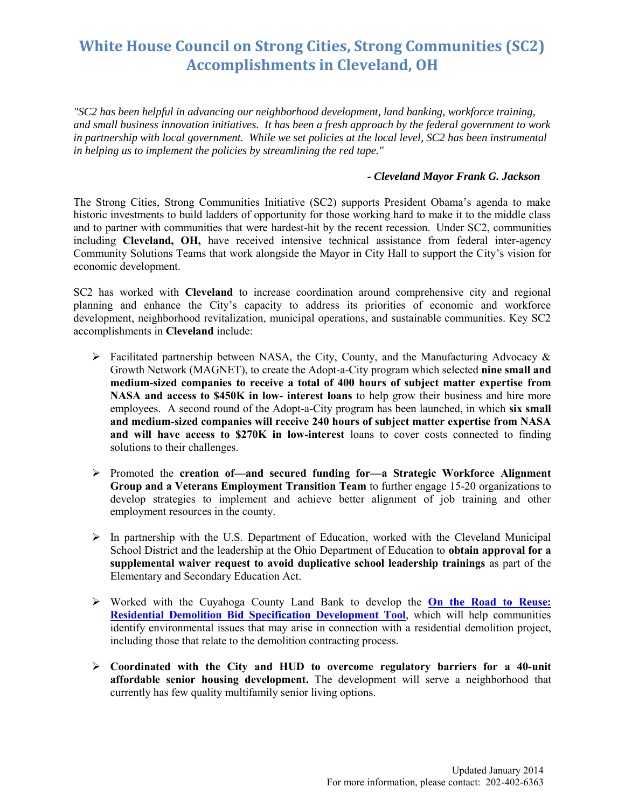## **White House Council on Strong Cities, Strong Communities (SC2) Accomplishments in Cleveland, OH**

*"SC2 has been helpful in advancing our neighborhood development, land banking, workforce training, and small business innovation initiatives. It has been a fresh approach by the federal government to work in partnership with local government. While we set policies at the local level, SC2 has been instrumental in helping us to implement the policies by streamlining the red tape."* 

## *- Cleveland Mayor Frank G. Jackson*

The Strong Cities, Strong Communities Initiative (SC2) supports President Obama's agenda to make historic investments to build ladders of opportunity for those working hard to make it to the middle class and to partner with communities that were hardest-hit by the recent recession. Under SC2, communities including **Cleveland, OH,** have received intensive technical assistance from federal inter-agency Community Solutions Teams that work alongside the Mayor in City Hall to support the City's vision for economic development.

SC2 has worked with **Cleveland** to increase coordination around comprehensive city and regional planning and enhance the City's capacity to address its priorities of economic and workforce development, neighborhood revitalization, municipal operations, and sustainable communities. Key SC2 accomplishments in **Cleveland** include:

- $\triangleright$  Facilitated partnership between NASA, the City, County, and the Manufacturing Advocacy & Growth Network (MAGNET), to create the Adopt-a-City program which selected **nine small and medium-sized companies to receive a total of 400 hours of subject matter expertise from NASA and access to \$450K in low- interest loans** to help grow their business and hire more employees. A second round of the Adopt-a-City program has been launched, in which **six small and medium-sized companies will receive 240 hours of subject matter expertise from NASA and will have access to \$270K in low-interest** loans to cover costs connected to finding solutions to their challenges.
- Promoted the **creation of—and secured funding for—a Strategic Workforce Alignment Group and a Veterans Employment Transition Team** to further engage 15-20 organizations to develop strategies to implement and achieve better alignment of job training and other employment resources in the county.
- $\triangleright$  In partnership with the U.S. Department of Education, worked with the Cleveland Municipal School District and the leadership at the Ohio Department of Education to **obtain approval for a supplemental waiver request to avoid duplicative school leadership trainings** as part of the Elementary and Secondary Education Act.
- Worked with the Cuyahoga County Land Bank to develop the **[On the Road to Reuse:](http://www2.epa.gov/large-scale-residential-demolition/road-reuse-residential-demolition-bid-specification-development)  [Residential Demolition Bid Specification Development Tool](http://www2.epa.gov/large-scale-residential-demolition/road-reuse-residential-demolition-bid-specification-development)**, which will help communities identify environmental issues that may arise in connection with a residential demolition project, including those that relate to the demolition contracting process.
- **Coordinated with the City and HUD to overcome regulatory barriers for a 40-unit affordable senior housing development.** The development will serve a neighborhood that currently has few quality multifamily senior living options.